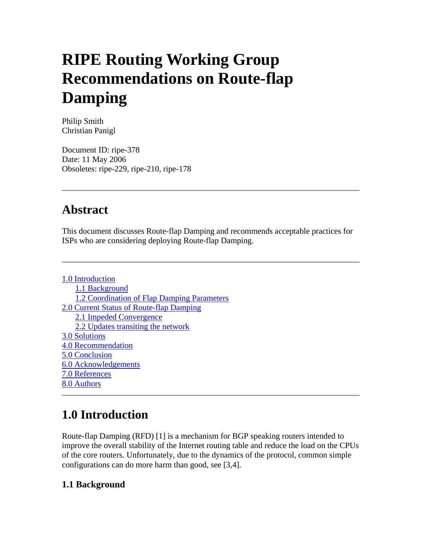# **RIPE Routing Working Group Recommendations on Route-flap Damping**

Philip Smith Christian Panigl

Document ID: ripe-378 Date: 11 May 2006 Obsoletes: ripe-229, ripe-210, ripe-178

### **Abstract**

This document discusses Route-flap Damping and recommends acceptable practices for ISPs who are considering deploying Route-flap Damping.

1.0 Introduction 1.1 Background 1.2 Coordination of Flap Damping Parameters 2.0 Current Status of Route-flap Damping 2.1 Impeded Convergence 2.2 Updates transiting the network 3.0 Solutions 4.0 Recommendation 5.0 Conclusion 6.0 Acknowledgements 7.0 References 8.0 Authors

# **1.0 Introduction**

Route-flap Damping (RFD) [1] is a mechanism for BGP speaking routers intended to improve the overall stability of the Internet routing table and reduce the load on the CPUs of the core routers. Unfortunately, due to the dynamics of the protocol, common simple configurations can do more harm than good, see [3,4].

#### **1.1 Background**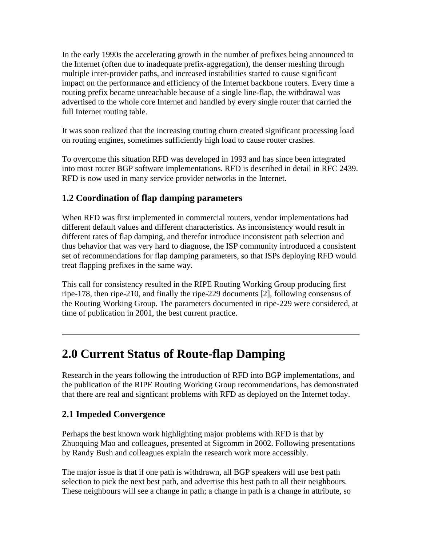In the early 1990s the accelerating growth in the number of prefixes being announced to the Internet (often due to inadequate prefix-aggregation), the denser meshing through multiple inter-provider paths, and increased instabilities started to cause significant impact on the performance and efficiency of the Internet backbone routers. Every time a routing prefix became unreachable because of a single line-flap, the withdrawal was advertised to the whole core Internet and handled by every single router that carried the full Internet routing table.

It was soon realized that the increasing routing churn created significant processing load on routing engines, sometimes sufficiently high load to cause router crashes.

To overcome this situation RFD was developed in 1993 and has since been integrated into most router BGP software implementations. RFD is described in detail in RFC 2439. RFD is now used in many service provider networks in the Internet.

#### **1.2 Coordination of flap damping parameters**

When RFD was first implemented in commercial routers, vendor implementations had different default values and different characteristics. As inconsistency would result in different rates of flap damping, and therefor introduce inconsistent path selection and thus behavior that was very hard to diagnose, the ISP community introduced a consistent set of recommendations for flap damping parameters, so that ISPs deploying RFD would treat flapping prefixes in the same way.

This call for consistency resulted in the RIPE Routing Working Group producing first ripe-178, then ripe-210, and finally the ripe-229 documents [2], following consensus of the Routing Working Group. The parameters documented in ripe-229 were considered, at time of publication in 2001, the best current practice.

### **2.0 Current Status of Route-flap Damping**

Research in the years following the introduction of RFD into BGP implementations, and the publication of the RIPE Routing Working Group recommendations, has demonstrated that there are real and signficant problems with RFD as deployed on the Internet today.

#### **2.1 Impeded Convergence**

Perhaps the best known work highlighting major problems with RFD is that by Zhuoquing Mao and colleagues, presented at Sigcomm in 2002. Following presentations by Randy Bush and colleagues explain the research work more accessibly.

The major issue is that if one path is withdrawn, all BGP speakers will use best path selection to pick the next best path, and advertise this best path to all their neighbours. These neighbours will see a change in path; a change in path is a change in attribute, so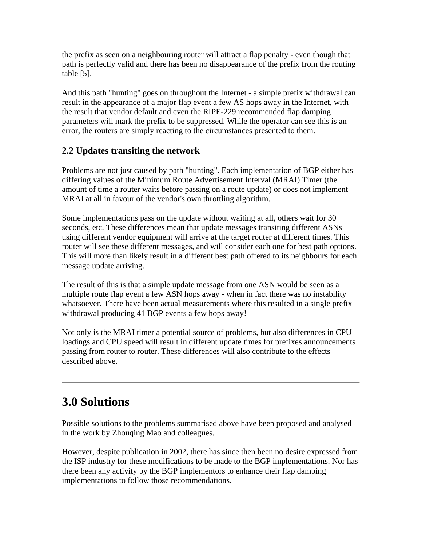the prefix as seen on a neighbouring router will attract a flap penalty - even though that path is perfectly valid and there has been no disappearance of the prefix from the routing table [5].

And this path "hunting" goes on throughout the Internet - a simple prefix withdrawal can result in the appearance of a major flap event a few AS hops away in the Internet, with the result that vendor default and even the RIPE-229 recommended flap damping parameters will mark the prefix to be suppressed. While the operator can see this is an error, the routers are simply reacting to the circumstances presented to them.

#### **2.2 Updates transiting the network**

Problems are not just caused by path "hunting". Each implementation of BGP either has differing values of the Minimum Route Advertisement Interval (MRAI) Timer (the amount of time a router waits before passing on a route update) or does not implement MRAI at all in favour of the vendor's own throttling algorithm.

Some implementations pass on the update without waiting at all, others wait for 30 seconds, etc. These differences mean that update messages transiting different ASNs using different vendor equipment will arrive at the target router at different times. This router will see these different messages, and will consider each one for best path options. This will more than likely result in a different best path offered to its neighbours for each message update arriving.

The result of this is that a simple update message from one ASN would be seen as a multiple route flap event a few ASN hops away - when in fact there was no instability whatsoever. There have been actual measurements where this resulted in a single prefix withdrawal producing 41 BGP events a few hops away!

Not only is the MRAI timer a potential source of problems, but also differences in CPU loadings and CPU speed will result in different update times for prefixes announcements passing from router to router. These differences will also contribute to the effects described above.

### **3.0 Solutions**

Possible solutions to the problems summarised above have been proposed and analysed in the work by Zhouqing Mao and colleagues.

However, despite publication in 2002, there has since then been no desire expressed from the ISP industry for these modifications to be made to the BGP implementations. Nor has there been any activity by the BGP implementors to enhance their flap damping implementations to follow those recommendations.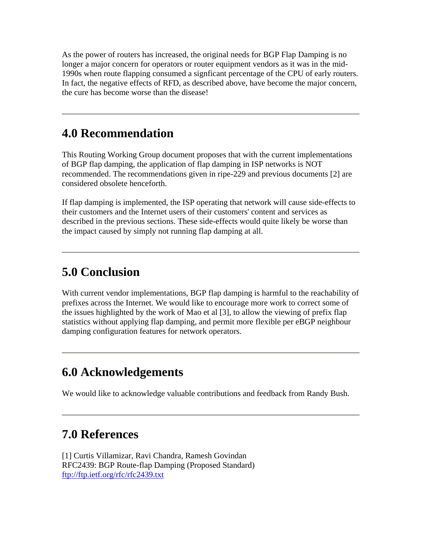As the power of routers has increased, the original needs for BGP Flap Damping is no longer a major concern for operators or router equipment vendors as it was in the mid-1990s when route flapping consumed a signficant percentage of the CPU of early routers. In fact, the negative effects of RFD, as described above, have become the major concern, the cure has become worse than the disease!

### **4.0 Recommendation**

This Routing Working Group document proposes that with the current implementations of BGP flap damping, the application of flap damping in ISP networks is NOT recommended. The recommendations given in ripe-229 and previous documents [2] are considered obsolete henceforth.

If flap damping is implemented, the ISP operating that network will cause side-effects to their customers and the Internet users of their customers' content and services as described in the previous sections. These side-effects would quite likely be worse than the impact caused by simply not running flap damping at all.

### **5.0 Conclusion**

With current vendor implementations, BGP flap damping is harmful to the reachability of prefixes across the Internet. We would like to encourage more work to correct some of the issues highlighted by the work of Mao et al [3], to allow the viewing of prefix flap statistics without applying flap damping, and permit more flexible per eBGP neighbour damping configuration features for network operators.

### **6.0 Acknowledgements**

We would like to acknowledge valuable contributions and feedback from Randy Bush.

## **7.0 References**

[1] Curtis Villamizar, Ravi Chandra, Ramesh Govindan RFC2439: BGP Route-flap Damping (Proposed Standard) <ftp://ftp.ietf.org/rfc/rfc2439.txt>